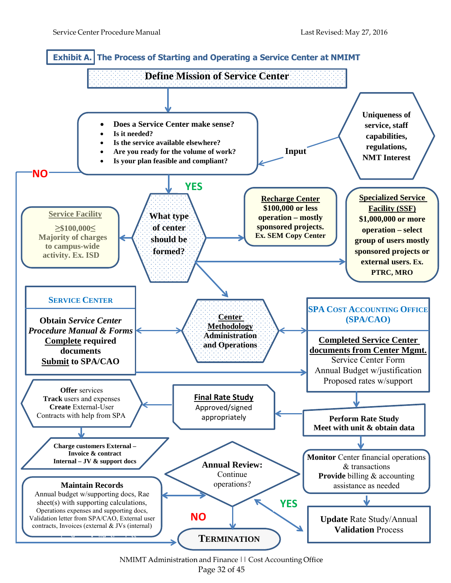

NMIMT Administration and Finance | | Cost Accounting Office Page 32 of 45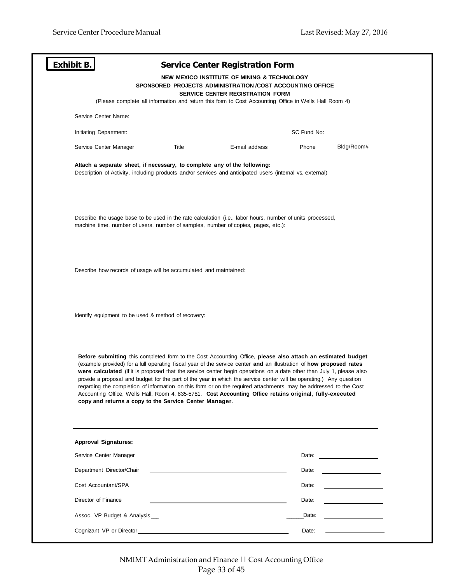| <b>Exhibit B.</b>                                                                                                                                                                                                                                                                                                                                                                                                                                                                                                                                                                                                                                                                                                                                                           |       | <b>Service Center Registration Form</b>                                                                                                             |             |                                                     |  |
|-----------------------------------------------------------------------------------------------------------------------------------------------------------------------------------------------------------------------------------------------------------------------------------------------------------------------------------------------------------------------------------------------------------------------------------------------------------------------------------------------------------------------------------------------------------------------------------------------------------------------------------------------------------------------------------------------------------------------------------------------------------------------------|-------|-----------------------------------------------------------------------------------------------------------------------------------------------------|-------------|-----------------------------------------------------|--|
|                                                                                                                                                                                                                                                                                                                                                                                                                                                                                                                                                                                                                                                                                                                                                                             |       | NEW MEXICO INSTITUTE OF MINING & TECHNOLOGY<br>SPONSORED PROJECTS ADMINISTRATION /COST ACCOUNTING OFFICE<br><b>SERVICE CENTER REGISTRATION FORM</b> |             |                                                     |  |
|                                                                                                                                                                                                                                                                                                                                                                                                                                                                                                                                                                                                                                                                                                                                                                             |       | (Please complete all information and return this form to Cost Accounting Office in Wells Hall Room 4)                                               |             |                                                     |  |
| Service Center Name:                                                                                                                                                                                                                                                                                                                                                                                                                                                                                                                                                                                                                                                                                                                                                        |       |                                                                                                                                                     |             |                                                     |  |
| Initiating Department:                                                                                                                                                                                                                                                                                                                                                                                                                                                                                                                                                                                                                                                                                                                                                      |       |                                                                                                                                                     | SC Fund No: |                                                     |  |
| Service Center Manager                                                                                                                                                                                                                                                                                                                                                                                                                                                                                                                                                                                                                                                                                                                                                      | Title | E-mail address                                                                                                                                      | Phone       | Bldg/Room#                                          |  |
| Attach a separate sheet, if necessary, to complete any of the following:<br>Description of Activity, including products and/or services and anticipated users (internal vs. external)                                                                                                                                                                                                                                                                                                                                                                                                                                                                                                                                                                                       |       |                                                                                                                                                     |             |                                                     |  |
| Describe the usage base to be used in the rate calculation (i.e., labor hours, number of units processed,<br>machine time, number of users, number of samples, number of copies, pages, etc.):                                                                                                                                                                                                                                                                                                                                                                                                                                                                                                                                                                              |       |                                                                                                                                                     |             |                                                     |  |
| Describe how records of usage will be accumulated and maintained:                                                                                                                                                                                                                                                                                                                                                                                                                                                                                                                                                                                                                                                                                                           |       |                                                                                                                                                     |             |                                                     |  |
| Identify equipment to be used & method of recovery:                                                                                                                                                                                                                                                                                                                                                                                                                                                                                                                                                                                                                                                                                                                         |       |                                                                                                                                                     |             |                                                     |  |
| Before submitting this completed form to the Cost Accounting Office, please also attach an estimated budget<br>(example provided) for a full operating fiscal year of the service center and an illustration of how proposed rates<br>were calculated (If it is proposed that the service center begin operations on a date other than July 1, please also<br>provide a proposal and budget for the part of the year in which the service center will be operating.) Any question<br>regarding the completion of information on this form or on the required attachments may be addressed to the Cost<br>Accounting Office, Wells Hall, Room 4, 835-5781. Cost Accounting Office retains original, fully-executed<br>copy and returns a copy to the Service Center Manager. |       |                                                                                                                                                     |             |                                                     |  |
| <b>Approval Signatures:</b>                                                                                                                                                                                                                                                                                                                                                                                                                                                                                                                                                                                                                                                                                                                                                 |       |                                                                                                                                                     |             |                                                     |  |
| Service Center Manager                                                                                                                                                                                                                                                                                                                                                                                                                                                                                                                                                                                                                                                                                                                                                      |       | <u> 1989 - Johann Stoff, amerikansk politiker (d. 1989)</u>                                                                                         |             |                                                     |  |
| Department Director/Chair                                                                                                                                                                                                                                                                                                                                                                                                                                                                                                                                                                                                                                                                                                                                                   |       | <u> 1980 - Johann Stoff, deutscher Stoffen und der Stoffen und der Stoffen und der Stoffen und der Stoffen und der</u>                              | Date:       |                                                     |  |
| Cost Accountant/SPA                                                                                                                                                                                                                                                                                                                                                                                                                                                                                                                                                                                                                                                                                                                                                         |       |                                                                                                                                                     | Date:       | <u> 1989 - Andrea Station Barbara, amerikan per</u> |  |
| Director of Finance                                                                                                                                                                                                                                                                                                                                                                                                                                                                                                                                                                                                                                                                                                                                                         |       |                                                                                                                                                     | Date:       |                                                     |  |
|                                                                                                                                                                                                                                                                                                                                                                                                                                                                                                                                                                                                                                                                                                                                                                             |       |                                                                                                                                                     | Date:       | <u> 1980 - Johann Barbara, martxa a</u>             |  |
|                                                                                                                                                                                                                                                                                                                                                                                                                                                                                                                                                                                                                                                                                                                                                                             |       |                                                                                                                                                     | Date:       |                                                     |  |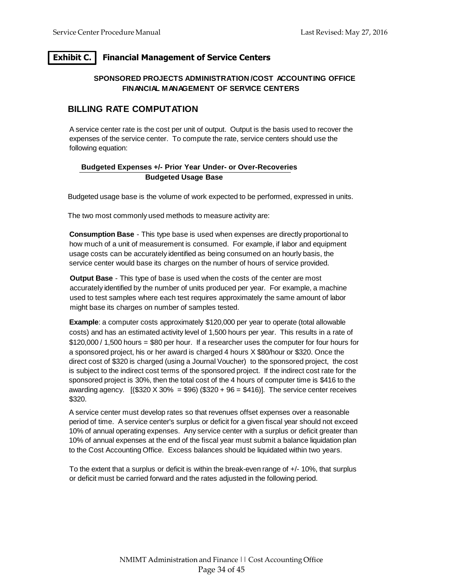# **Exhibit C. Financial Management of Service Centers**

### **SPONSORED PROJECTS ADMINISTRATION /COST ACCOUNTING OFFICE FINANCIAL MANAGEMENT OF SERVICE CENTERS**

## **BILLING RATE COMPUTATION**

A service center rate is the cost per unit of output. Output is the basis used to recover the expenses of the service center. To compute the rate, service centers should use the following equation:

### **Budgeted Expenses +/- Prior Year Under- or Over-Recoveries Budgeted Usage Base**

Budgeted usage base is the volume of work expected to be performed, expressed in units.

The two most commonly used methods to measure activity are:

**Consumption Base** - This type base is used when expenses are directly proportional to how much of a unit of measurement is consumed. For example, if labor and equipment usage costs can be accurately identified as being consumed on an hourly basis, the service center would base its charges on the number of hours of service provided.

**Output Base** - This type of base is used when the costs of the center are most accurately identified by the number of units produced per year. For example, a machine used to test samples where each test requires approximately the same amount of labor might base its charges on number of samples tested.

**Example**: a computer costs approximately \$120,000 per year to operate (total allowable costs) and has an estimated activity level of 1,500 hours per year. This results in a rate of \$120,000 / 1,500 hours = \$80 per hour. If a researcher uses the computer for four hours for a sponsored project, his or her award is charged 4 hours X \$80/hour or \$320. Once the direct cost of \$320 is charged (using a Journal Voucher) to the sponsored project, the cost is subject to the indirect cost terms of the sponsored project. If the indirect cost rate for the sponsored project is 30%, then the total cost of the 4 hours of computer time is \$416 to the awarding agency.  $($ \$320 X 30% = \$96) (\$320 + 96 = \$416)]. The service center receives \$320.

A service center must develop rates so that revenues offset expenses over a reasonable period of time. A service center's surplus or deficit for a given fiscal year should not exceed 10% of annual operating expenses. Any service center with a surplus or deficit greater than 10% of annual expenses at the end of the fiscal year must submit a balance liquidation plan to the Cost Accounting Office. Excess balances should be liquidated within two years.

To the extent that a surplus or deficit is within the break-even range of +/- 10%, that surplus or deficit must be carried forward and the rates adjusted in the following period.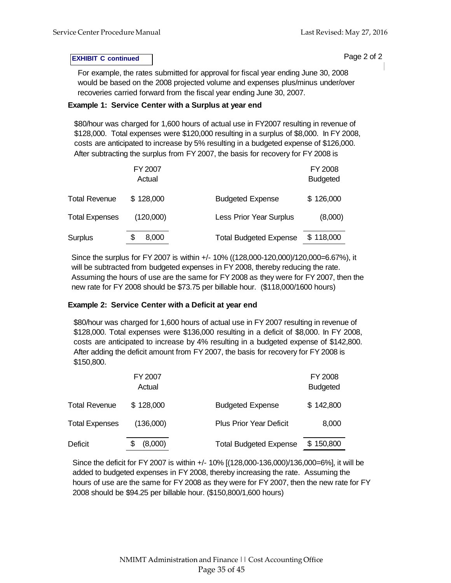### **EXHIBIT C continued Page 2 of 2**

For example, the rates submitted for approval for fiscal year ending June 30, 2008 would be based on the 2008 projected volume and expenses plus/minus under/over recoveries carried forward from the fiscal year ending June 30, 2007.

### **Example 1: Service Center with a Surplus at year end**

\$80/hour was charged for 1,600 hours of actual use in FY2007 resulting in revenue of \$128,000. Total expenses were \$120,000 resulting in a surplus of \$8,000. In FY 2008, costs are anticipated to increase by 5% resulting in a budgeted expense of \$126,000. After subtracting the surplus from FY 2007, the basis for recovery for FY 2008 is

|                       | FY 2007<br>Actual |                               | FY 2008<br><b>Budgeted</b> |
|-----------------------|-------------------|-------------------------------|----------------------------|
| <b>Total Revenue</b>  | \$128,000         | <b>Budgeted Expense</b>       | \$126,000                  |
| <b>Total Expenses</b> | (120,000)         | Less Prior Year Surplus       | (8,000)                    |
| <b>Surplus</b>        | 8,000             | <b>Total Budgeted Expense</b> | \$118,000                  |

Since the surplus for FY 2007 is within +/- 10% ((128,000-120,000)/120,000=6.67%), it will be subtracted from budgeted expenses in FY 2008, thereby reducing the rate. Assuming the hours of use are the same for FY 2008 as they were for FY 2007, then the new rate for FY 2008 should be \$73.75 per billable hour. (\$118,000/1600 hours)

### **Example 2: Service Center with a Deficit at year end**

\$80/hour was charged for 1,600 hours of actual use in FY 2007 resulting in revenue of \$128,000. Total expenses were \$136,000 resulting in a deficit of \$8,000. In FY 2008, costs are anticipated to increase by 4% resulting in a budgeted expense of \$142,800. After adding the deficit amount from FY 2007, the basis for recovery for FY 2008 is \$150,800.

|                       | FY 2007<br>Actual |                                | FY 2008<br><b>Budgeted</b> |
|-----------------------|-------------------|--------------------------------|----------------------------|
| <b>Total Revenue</b>  | \$128,000         | <b>Budgeted Expense</b>        | \$142,800                  |
| <b>Total Expenses</b> | (136,000)         | <b>Plus Prior Year Deficit</b> | 8,000                      |
| Deficit               | (8,000)           | <b>Total Budgeted Expense</b>  | \$150,800                  |

Since the deficit for FY 2007 is within +/- 10% [(128,000-136,000)/136,000=6%], it will be added to budgeted expenses in FY 2008, thereby increasing the rate. Assuming the hours of use are the same for FY 2008 as they were for FY 2007, then the new rate for FY 2008 should be \$94.25 per billable hour. (\$150,800/1,600 hours)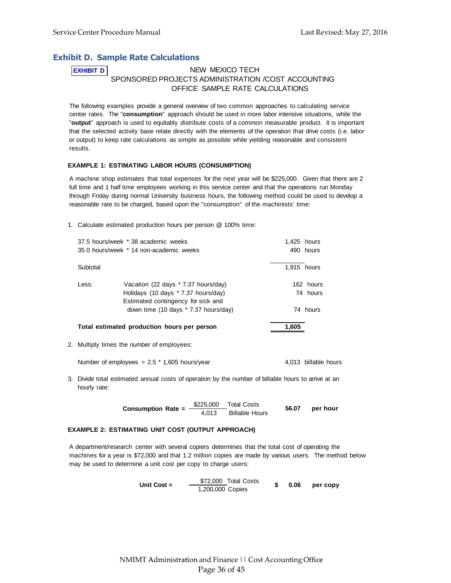## **Exhibit D. Sample Rate Calculations**

## **EXHIBIT D** NEW MEXICO TECH SPONSORED PROJECTS ADMINISTRATION /COST ACCOUNTING OFFICE SAMPLE RATE CALCULATIONS

The following examples provide a general overview of two common approaches to calculating service center rates. The "**consumption**" approach should be used in more labor intensive situations, while the "**output**" approach is used to equitably distribute costs of a common measurable product. It is important that the selected activity base relate directly with the elements of the operation that drive costs (i.e. labor or output) to keep rate calculations as simple as possible while yielding reasonable and consistent results.

#### **EXAMPLE 1: ESTIMATING LABOR HOURS (CONSUMPTION)**

A machine shop estimates that total expenses for the next year will be \$225,000. Given that there are 2 full time and 1 half time employees working in this service center and that the operations run Monday through Friday during normal University business hours, the following method could be used to develop a reasonable rate to be charged, based upon the "consumption" of the machinists' time:

1. Calculate estimated production hours per person @ 100% time:

|          | 37.5 hours/week * 38 academic weeks         | 1.425 hours |
|----------|---------------------------------------------|-------------|
|          | 35.0 hours/week * 14 non-academic weeks     | 490 hours   |
|          |                                             |             |
| Subtotal |                                             | 1,915 hours |
|          |                                             |             |
| Less:    | Vacation (22 days * 7.37 hours/day)         | 162 hours   |
|          | Holidays (10 days * 7.37 hours/day)         | 74 hours    |
|          | Estimated contingency for sick and          |             |
|          | down time (10 days * 7.37 hours/day)        | 74 hours    |
|          |                                             |             |
|          | Total estimated production hours per person | 1.605       |
|          |                                             |             |

2. Multiply times the number of employees:

Number of employees =  $2.5 * 1,605$  hours/year  $4,013$  billable hours

3. Divide total estimated annual costs of operation by the number of billable hours to arrive at an hourly rate:

> **Consumption Rate =**  $\frac{$225,000}{$4,013}$  **Billable Hours 56.07 per hour**

#### **EXAMPLE 2: ESTIMATING UNIT COST (OUTPUT APPROACH)**

A department/research center with several copiers determines that the total cost of operating the machines for a year is \$72,000 and that 1.2 million copies are made by various users. The method below may be used to determine a unit cost per copy to charge users:

Unit Cost = 
$$
\frac{\$72,000}{1,200,000}
$$
Total Costs  $\$$  0.06 per copy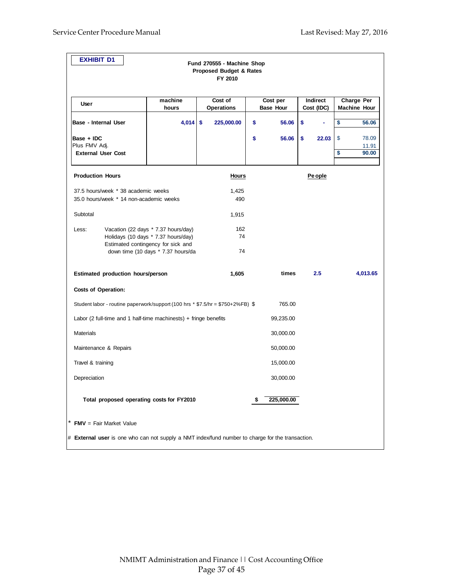| <b>EXHIBIT D1</b>                                                                                |                                                                                                                                                        | Fund 270555 - Machine Shop<br><b>Proposed Budget &amp; Rates</b><br>FY 2010 |                              |                        |          |                                   |
|--------------------------------------------------------------------------------------------------|--------------------------------------------------------------------------------------------------------------------------------------------------------|-----------------------------------------------------------------------------|------------------------------|------------------------|----------|-----------------------------------|
| User                                                                                             | machine<br>hours                                                                                                                                       | Cost of<br><b>Operations</b>                                                | Cost per<br><b>Base Hour</b> | Indirect<br>Cost (IDC) |          | Charge Per<br><b>Machine Hour</b> |
| Base - Internal User                                                                             | 4,014                                                                                                                                                  | \$<br>225,000.00                                                            | \$<br>56.06                  | \$<br>÷                | \$       | 56.06                             |
| Base + IDC<br>Plus FMV Adj.<br><b>External User Cost</b>                                         |                                                                                                                                                        |                                                                             | \$<br>56.06                  | \$<br>22.03            | \$<br>\$ | 78.09<br>11.91<br>90.00           |
| <b>Production Hours</b>                                                                          |                                                                                                                                                        | <b>Hours</b>                                                                |                              | Pe ople                |          |                                   |
| 37.5 hours/week * 38 academic weeks<br>35.0 hours/week * 14 non-academic weeks                   |                                                                                                                                                        | 1,425<br>490                                                                |                              |                        |          |                                   |
| Subtotal                                                                                         |                                                                                                                                                        | 1,915                                                                       |                              |                        |          |                                   |
| Less:                                                                                            | Vacation (22 days * 7.37 hours/day)<br>Holidays (10 days * 7.37 hours/day)<br>Estimated contingency for sick and<br>down time (10 days * 7.37 hours/da | 162<br>74<br>74                                                             |                              |                        |          |                                   |
| Estimated production hours/person                                                                |                                                                                                                                                        | 1,605                                                                       | times                        | 2.5                    |          | 4,013.65                          |
| <b>Costs of Operation:</b>                                                                       |                                                                                                                                                        |                                                                             |                              |                        |          |                                   |
| Student labor - routine paperwork/support (100 hrs * \$7.5/hr = \$750+2%FB) \$                   |                                                                                                                                                        |                                                                             | 765.00                       |                        |          |                                   |
| Labor (2 full-time and 1 half-time machinests) $+$ fringe benefits                               |                                                                                                                                                        |                                                                             | 99,235.00                    |                        |          |                                   |
| <b>Materials</b>                                                                                 |                                                                                                                                                        |                                                                             | 30,000.00                    |                        |          |                                   |
| Maintenance & Repairs                                                                            |                                                                                                                                                        |                                                                             | 50,000.00                    |                        |          |                                   |
| Travel & training                                                                                |                                                                                                                                                        |                                                                             | 15,000.00                    |                        |          |                                   |
| Depreciation                                                                                     |                                                                                                                                                        |                                                                             | 30,000.00                    |                        |          |                                   |
| Total proposed operating costs for FY2010                                                        |                                                                                                                                                        |                                                                             | 225,000.00                   |                        |          |                                   |
| * FMV = Fair Market Value                                                                        |                                                                                                                                                        |                                                                             |                              |                        |          |                                   |
| # External user is one who can not supply a NMT index/fund number to charge for the transaction. |                                                                                                                                                        |                                                                             |                              |                        |          |                                   |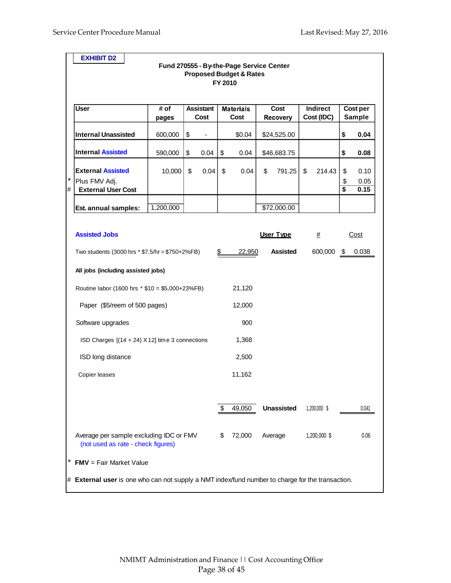$\blacksquare$ 

|             | <b>EXHIBIT D2</b>                                                                                |           |                  |         | Fund 270555 - By-the-Page Service Center |                   |                 |                                            |               |
|-------------|--------------------------------------------------------------------------------------------------|-----------|------------------|---------|------------------------------------------|-------------------|-----------------|--------------------------------------------|---------------|
|             |                                                                                                  |           |                  | FY 2010 | <b>Proposed Budget &amp; Rates</b>       |                   |                 |                                            |               |
|             |                                                                                                  |           |                  |         |                                          |                   |                 |                                            |               |
|             | <b>User</b>                                                                                      | # of      | <b>Assistant</b> |         | <b>Materials</b>                         | Cost              | <b>Indirect</b> |                                            | Cost per      |
|             |                                                                                                  | pages     | Cost             |         | Cost                                     | <b>Recovery</b>   | Cost (IDC)      |                                            | <b>Sample</b> |
|             | <b>Internal Unassisted</b>                                                                       | 600,000   | \$               |         | \$0.04                                   | \$24,525.00       |                 | \$                                         | 0.04          |
|             | <b>Internal Assisted</b>                                                                         | 590,000   | \$<br>0.04       | \$      | 0.04                                     | \$46,683.75       |                 | \$                                         | 0.08          |
|             | <b>External Assisted</b>                                                                         | 10,000    | \$<br>0.04       | \$      | 0.04                                     | \$<br>791.25      | \$<br>214.43    | \$                                         | 0.10          |
| $\ast$<br># | Plus FMV Adj.<br><b>External User Cost</b>                                                       |           |                  |         |                                          |                   |                 | \$<br>$\overline{\boldsymbol{\mathsf{s}}}$ | 0.05<br>0.15  |
|             |                                                                                                  |           |                  |         |                                          |                   |                 |                                            |               |
|             | Est. annual samples:                                                                             | 1,200,000 |                  |         |                                          | \$72,000.00       |                 |                                            |               |
|             |                                                                                                  |           |                  |         |                                          |                   |                 |                                            |               |
|             | <b>Assisted Jobs</b>                                                                             |           |                  |         |                                          | User Type         | #               |                                            | Cost          |
|             | Two students $(3000 \text{ hrs} * $7.5/\text{hr} = $750+2\% \text{FB})$                          |           |                  | \$      | 22,950                                   | <b>Assisted</b>   | 600,000 \$      |                                            | 0.038         |
|             | All jobs (including assisted jobs)                                                               |           |                  |         |                                          |                   |                 |                                            |               |
|             | Routine labor (1600 hrs * \$10 = \$5,000+23%FB)                                                  |           |                  |         | 21,120                                   |                   |                 |                                            |               |
|             | Paper (\$5/reem of 500 pages)                                                                    |           |                  |         | 12,000                                   |                   |                 |                                            |               |
|             | Software upgrades                                                                                |           |                  |         | 900                                      |                   |                 |                                            |               |
|             | ISD Charges $[(14 + 24) \times 12]$ time 3 connections                                           |           |                  |         | 1,368                                    |                   |                 |                                            |               |
|             | ISD long distance                                                                                |           |                  |         | 2,500                                    |                   |                 |                                            |               |
|             | Copier leases                                                                                    |           |                  |         | 11,162                                   |                   |                 |                                            |               |
|             |                                                                                                  |           |                  |         |                                          |                   |                 |                                            |               |
|             |                                                                                                  |           |                  | \$      | 49,050                                   | <b>Unassisted</b> | 1,200,000 \$    |                                            | 0.041         |
|             | Average per sample excluding IDC or FMV<br>(not used as rate - check figures)                    |           |                  | \$      | 72,000                                   | Average           | 1,200,000 \$    |                                            | 0.06          |
|             | $FMV = Fair Market Value$                                                                        |           |                  |         |                                          |                   |                 |                                            |               |
|             | # External user is one who can not supply a NMT index/fund number to charge for the transaction. |           |                  |         |                                          |                   |                 |                                            |               |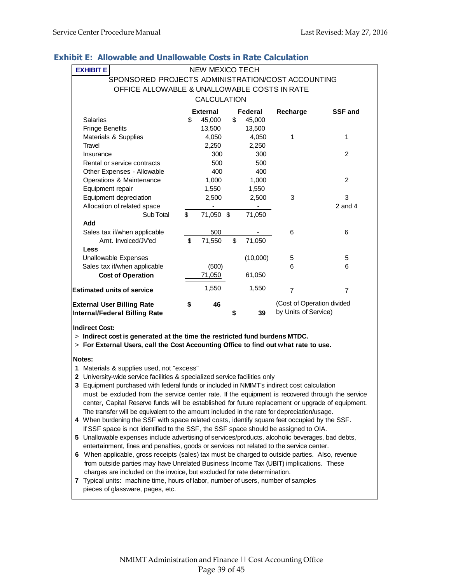| <b>EXHIBIT E</b>                                  | <b>NEW MEXICO TECH</b> |    |          |                            |                |
|---------------------------------------------------|------------------------|----|----------|----------------------------|----------------|
| SPONSORED PROJECTS ADMINISTRATION/COST ACCOUNTING |                        |    |          |                            |                |
| OFFICE ALLOWABLE & UNALLOWABLE COSTS IN RATE      |                        |    |          |                            |                |
|                                                   | <b>CALCULATION</b>     |    |          |                            |                |
|                                                   | <b>External</b>        |    | Federal  | Recharge                   | <b>SSF and</b> |
| Salaries                                          | \$<br>45,000           | \$ | 45,000   |                            |                |
| <b>Fringe Benefits</b>                            | 13,500                 |    | 13,500   |                            |                |
| Materials & Supplies                              | 4,050                  |    | 4,050    | 1                          | 1              |
| Travel                                            | 2,250                  |    | 2,250    |                            |                |
| Insurance                                         | 300                    |    | 300      |                            | 2              |
| Rental or service contracts                       | 500                    |    | 500      |                            |                |
| Other Expenses - Allowable                        | 400                    |    | 400      |                            |                |
| Operations & Maintenance                          | 1,000                  |    | 1,000    |                            | 2              |
| Equipment repair                                  | 1,550                  |    | 1,550    |                            |                |
| Equipment depreciation                            | 2,500                  |    | 2,500    | 3                          | 3              |
| Allocation of related space                       |                        |    |          |                            | $2$ and $4$    |
| Sub Total                                         | \$<br>71,050 \$        |    | 71,050   |                            |                |
| <b>bbA</b>                                        |                        |    |          |                            |                |
| Sales tax if/when applicable                      | 500                    |    |          | 6                          | 6              |
| Amt. Invoiced/JV'ed                               | \$<br>71,550           | \$ | 71,050   |                            |                |
| Less                                              |                        |    |          |                            |                |
| Unallowable Expenses                              |                        |    | (10,000) | 5                          | 5              |
| Sales tax if/when applicable                      | (500)                  |    |          | 6                          | 6              |
| <b>Cost of Operation</b>                          | 71,050                 |    | 61,050   |                            |                |
| <b>Estimated units of service</b>                 | 1,550                  |    | 1,550    | $\overline{7}$             | $\overline{7}$ |
| <b>External User Billing Rate</b>                 | \$<br>46               |    |          | (Cost of Operation divided |                |
| Internal/Federal Billing Rate                     |                        | S  | 39       | by Units of Service)       |                |

## **Exhibit E: Allowable and Unallowable Costs in Rate Calculation**

**Indirect Cost:**

> **Indirect cost is generated at the time the restricted fund burdens MTDC.**

> **For External Users, call the Cost Accounting Office to find out what rate to use.**

#### **Notes:**

**1** Materials & supplies used, not "excess"

- **2** University-wide service facilities & specialized service facilities only
- **3** Equipment purchased with federal funds or included in NMIMT's indirect cost calculation must be excluded from the service center rate. If the equipment is recovered through the service center, Capital Reserve funds will be established for future replacement or upgrade of equipment. The transfer will be equivalent to the amount included in the rate for depreciation/usage.
- **4** When burdening the SSF with space related costs, identify square feet occupied by the SSF. If SSF space is not identified to the SSF, the SSF space should be assigned to OIA.
- **5** Unallowable expenses include advertising of services/products, alcoholic beverages, bad debts, entertainment, fines and penalties, goods or services not related to the service center.
- **6** When applicable, gross receipts (sales) tax must be charged to outside parties. Also, revenue from outside parties may have Unrelated Business Income Tax (UBIT) implications. These charges are included on the invoice, but excluded for rate determination.
- **7** Typical units: machine time, hours of labor, number of users, number of samples pieces of glassware, pages, etc.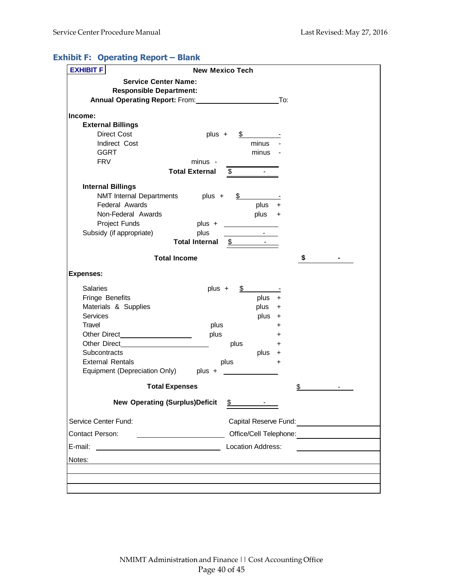# **Exhibit F: Operating Report – Blank**

| <b>Service Center Name:</b><br><b>Responsible Department:</b><br><b>Annual Operating Report: From:</b>                                                                                                                                               |                                                    |               |                               |             |                        |  |
|------------------------------------------------------------------------------------------------------------------------------------------------------------------------------------------------------------------------------------------------------|----------------------------------------------------|---------------|-------------------------------|-------------|------------------------|--|
|                                                                                                                                                                                                                                                      |                                                    |               |                               |             |                        |  |
|                                                                                                                                                                                                                                                      |                                                    |               |                               |             |                        |  |
|                                                                                                                                                                                                                                                      |                                                    |               |                               | To:         |                        |  |
| Income:                                                                                                                                                                                                                                              |                                                    |               |                               |             |                        |  |
| <b>External Billings</b>                                                                                                                                                                                                                             |                                                    |               |                               |             |                        |  |
| Direct Cost                                                                                                                                                                                                                                          | plus +                                             | \$            |                               |             |                        |  |
| Indirect Cost                                                                                                                                                                                                                                        |                                                    |               | minus                         |             |                        |  |
| <b>GGRT</b>                                                                                                                                                                                                                                          |                                                    |               | minus                         |             |                        |  |
| <b>FRV</b>                                                                                                                                                                                                                                           | minus -                                            |               |                               |             |                        |  |
|                                                                                                                                                                                                                                                      | <b>Total External</b>                              | $\$\$         |                               |             |                        |  |
| <b>Internal Billings</b>                                                                                                                                                                                                                             |                                                    |               |                               |             |                        |  |
| NMT Internal Departments plus +                                                                                                                                                                                                                      |                                                    | \$            |                               |             |                        |  |
| Federal Awards                                                                                                                                                                                                                                       |                                                    |               | plus                          | $\ddot{}$   |                        |  |
| Non-Federal Awards                                                                                                                                                                                                                                   |                                                    |               | plus +                        |             |                        |  |
| Project Funds                                                                                                                                                                                                                                        | plus $+$                                           |               |                               |             |                        |  |
| Subsidy (if appropriate)                                                                                                                                                                                                                             | plus                                               |               | $\sim 100$                    |             |                        |  |
|                                                                                                                                                                                                                                                      | <b>Total Internal</b>                              | $\frac{1}{2}$ |                               |             |                        |  |
| <b>Total Income</b>                                                                                                                                                                                                                                  |                                                    |               |                               |             | \$                     |  |
| <b>Expenses:</b>                                                                                                                                                                                                                                     |                                                    |               |                               |             |                        |  |
| <b>Salaries</b>                                                                                                                                                                                                                                      | plus +                                             |               |                               |             |                        |  |
| Fringe Benefits                                                                                                                                                                                                                                      |                                                    |               | plus                          | $\ddot{}$   |                        |  |
| Materials & Supplies                                                                                                                                                                                                                                 |                                                    |               | plus                          | $\mathbf +$ |                        |  |
| <b>Services</b>                                                                                                                                                                                                                                      |                                                    |               | plus +                        |             |                        |  |
| Travel                                                                                                                                                                                                                                               | plus                                               |               |                               | +           |                        |  |
| Other Direct<br><u>and the community of the community of the community of the community of the community of the community of the community of the community of the community of the community of the community of the community of the community</u> | plus                                               |               |                               | +           |                        |  |
| Other Direct                                                                                                                                                                                                                                         |                                                    | plus          |                               | +           |                        |  |
| <b>Subcontracts</b>                                                                                                                                                                                                                                  |                                                    |               | plus                          | +           |                        |  |
| <b>External Rentals</b>                                                                                                                                                                                                                              |                                                    | plus          |                               | +           |                        |  |
| Equipment (Depreciation Only) plus +                                                                                                                                                                                                                 |                                                    |               |                               |             |                        |  |
| <b>Total Expenses</b>                                                                                                                                                                                                                                |                                                    |               |                               |             | \$                     |  |
| <b>New Operating (Surplus)Deficit</b>                                                                                                                                                                                                                |                                                    |               | $\frac{\text{S}}{\text{S}}$ . |             |                        |  |
| Service Center Fund:                                                                                                                                                                                                                                 |                                                    |               |                               |             |                        |  |
| Contact Person:                                                                                                                                                                                                                                      | <u> 1990 - John Stein, Amerikaansk politiker (</u> |               |                               |             | Office/Cell Telephone: |  |
| E-mail:<br>Location Address:                                                                                                                                                                                                                         |                                                    |               |                               |             |                        |  |
| Notes:                                                                                                                                                                                                                                               |                                                    |               |                               |             |                        |  |
|                                                                                                                                                                                                                                                      |                                                    |               |                               |             |                        |  |
|                                                                                                                                                                                                                                                      |                                                    |               |                               |             |                        |  |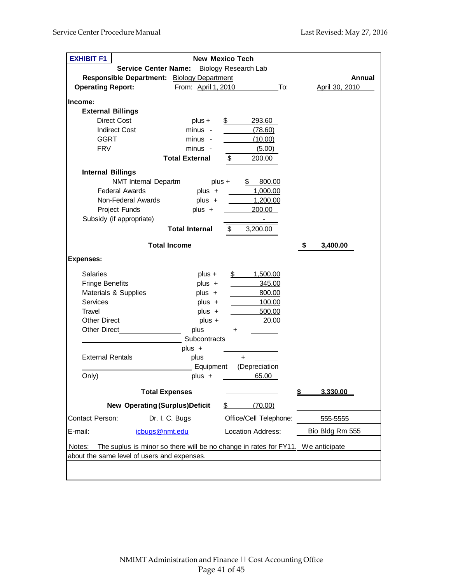| <b>EXHIBIT F1</b>                                           |                       | <b>New Mexico Tech</b>                                                          |                 |
|-------------------------------------------------------------|-----------------------|---------------------------------------------------------------------------------|-----------------|
| <b>Service Center Name:</b>                                 |                       | <b>Biology Research Lab</b>                                                     |                 |
| Responsible Department: Biology Department                  |                       |                                                                                 | Annual          |
| <b>Operating Report:</b>                                    | From: April 1, 2010   | To:                                                                             | April 30, 2010  |
|                                                             |                       |                                                                                 |                 |
| Income:                                                     |                       |                                                                                 |                 |
| <b>External Billings</b>                                    |                       |                                                                                 |                 |
| <b>Direct Cost</b>                                          | $plus +$              | \$<br>293.60                                                                    |                 |
| <b>Indirect Cost</b>                                        | minus -               | (78.60)                                                                         |                 |
| <b>GGRT</b>                                                 | minus -               | (10.00)                                                                         |                 |
| <b>FRV</b>                                                  | minus -               | (5.00)                                                                          |                 |
|                                                             | <b>Total External</b> | \$<br>200.00                                                                    |                 |
| <b>Internal Billings</b>                                    |                       |                                                                                 |                 |
| NMT Internal Departm                                        | $plus +$              | \$800.00                                                                        |                 |
| <b>Federal Awards</b>                                       | plus +                | 1,000.00                                                                        |                 |
| Non-Federal Awards                                          | plus +                | 1,200.00                                                                        |                 |
| Project Funds                                               | $plus +$              | 200.00                                                                          |                 |
| Subsidy (if appropriate)                                    |                       |                                                                                 |                 |
|                                                             | <b>Total Internal</b> | \$<br>3,200.00                                                                  |                 |
|                                                             |                       |                                                                                 |                 |
|                                                             | <b>Total Income</b>   |                                                                                 | \$<br>3,400.00  |
| <b>Expenses:</b>                                            |                       |                                                                                 |                 |
| <b>Salaries</b>                                             | plus +                | 1,500.00<br>$\mathbb{S}$                                                        |                 |
| <b>Fringe Benefits</b>                                      | $plus +$              | 345.00                                                                          |                 |
| Materials & Supplies                                        | plus +                | 800.00                                                                          |                 |
| Services                                                    | $plus +$              | 100.00                                                                          |                 |
| Travel                                                      | $plus +$              | 500.00                                                                          |                 |
|                                                             | $plus +$              | 20.00                                                                           |                 |
| Other Direct <b>Communist Communist Communist Communist</b> | plus                  | $\ddot{}$                                                                       |                 |
|                                                             | Subcontracts          |                                                                                 |                 |
|                                                             | plus $+$              |                                                                                 |                 |
| <b>External Rentals</b>                                     | plus                  | $\ddot{}$                                                                       |                 |
|                                                             | _ Equipment           | (Depreciation                                                                   |                 |
| Only)                                                       | $plus +$              | 65.00                                                                           |                 |
|                                                             |                       |                                                                                 |                 |
| <b>Total Expenses</b>                                       |                       |                                                                                 | 3,330.00<br>\$  |
| <b>New Operating (Surplus) Deficit</b>                      |                       | \$<br>(70.00)                                                                   |                 |
| <b>Contact Person:</b>                                      | Dr. I. C. Bugs        | Office/Cell Telephone:                                                          | 555-5555        |
| E-mail:<br>icbugs@nmt.edu                                   |                       | Location Address:                                                               | Bio Bldg Rm 555 |
|                                                             |                       | The suplus is minor so there will be no change in rates for FY11. We anticipate |                 |
| Notes:<br>about the same level of users and expenses.       |                       |                                                                                 |                 |
|                                                             |                       |                                                                                 |                 |
|                                                             |                       |                                                                                 |                 |
|                                                             |                       |                                                                                 |                 |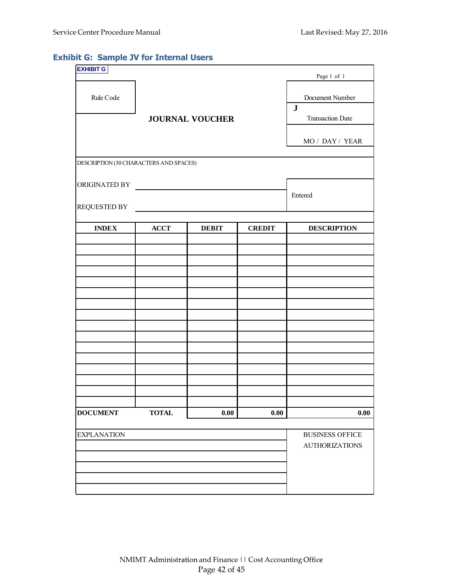# **Exhibit G: Sample JV for Internal Users**

| <b>EXHIBIT G</b>                       |                                                                                                                        |                        |               | Page 1 of 1                  |
|----------------------------------------|------------------------------------------------------------------------------------------------------------------------|------------------------|---------------|------------------------------|
| Rule Code                              |                                                                                                                        |                        |               | Document Number<br>${\bf J}$ |
|                                        |                                                                                                                        | <b>JOURNAL VOUCHER</b> |               | <b>Transaction Date</b>      |
|                                        |                                                                                                                        |                        |               | MO / DAY / YEAR              |
| DESCRIPTION (30 CHARACTERS AND SPACES) |                                                                                                                        |                        |               |                              |
| ORIGINATED BY                          | <u> 1989 - Andrea Maria II, martin a fara a tsarain a tsarain a tsarain a tsarain a tsarain a tsarain a tsarain a </u> |                        |               |                              |
| <b>REQUESTED BY</b>                    |                                                                                                                        | Entered                |               |                              |
| <b>INDEX</b>                           | <b>ACCT</b>                                                                                                            | <b>DEBIT</b>           | <b>CREDIT</b> | <b>DESCRIPTION</b>           |
|                                        |                                                                                                                        |                        |               |                              |
|                                        |                                                                                                                        |                        |               |                              |
|                                        |                                                                                                                        |                        |               |                              |
|                                        |                                                                                                                        |                        |               |                              |
|                                        |                                                                                                                        |                        |               |                              |
|                                        |                                                                                                                        |                        |               |                              |
|                                        |                                                                                                                        |                        |               |                              |
|                                        |                                                                                                                        |                        |               |                              |
|                                        |                                                                                                                        |                        |               |                              |
|                                        |                                                                                                                        |                        |               |                              |
|                                        |                                                                                                                        |                        |               |                              |
| <b>DOCUMENT</b>                        | <b>TOTAL</b>                                                                                                           | $0.00\,$               | 0.00          | 0.00                         |
| <b>EXPLANATION</b>                     |                                                                                                                        |                        |               | <b>BUSINESS OFFICE</b>       |
|                                        |                                                                                                                        |                        |               | <b>AUTHORIZATIONS</b>        |
|                                        |                                                                                                                        |                        |               |                              |
|                                        |                                                                                                                        |                        |               |                              |
|                                        |                                                                                                                        |                        |               |                              |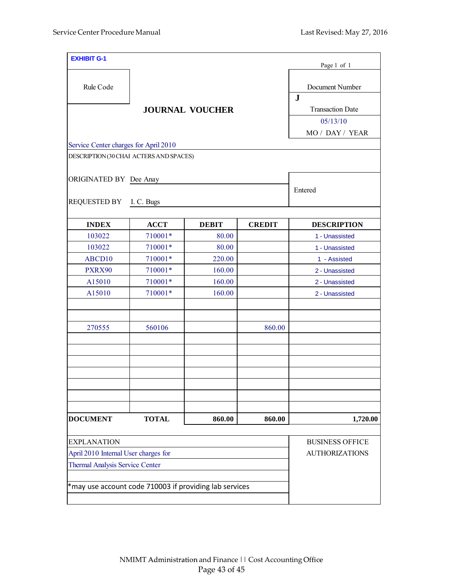| <b>EXHIBIT G-1</b>                                        |              |                        |               | Page 1 of 1                     |
|-----------------------------------------------------------|--------------|------------------------|---------------|---------------------------------|
| Rule Code                                                 |              |                        |               | Document Number<br>$\mathbf{J}$ |
|                                                           |              | <b>JOURNAL VOUCHER</b> |               | <b>Transaction Date</b>         |
|                                                           |              |                        |               | 05/13/10                        |
|                                                           |              |                        |               | MO / DAY / YEAR                 |
| Service Center charges for April 2010                     |              |                        |               |                                 |
| DESCRIPTION (30 CHAI ACTERS AND SPACES)                   |              |                        |               |                                 |
| ORIGINATED BY Dee Anay                                    |              |                        |               |                                 |
| <b>REQUESTED BY</b>                                       | I. C. Bugs   |                        |               | Entered                         |
| <b>INDEX</b>                                              | <b>ACCT</b>  | <b>DEBIT</b>           | <b>CREDIT</b> | <b>DESCRIPTION</b>              |
| 103022                                                    | 710001*      | 80.00                  |               | 1 - Unassisted                  |
| 103022                                                    | 710001*      | 80.00                  |               | 1 - Unassisted                  |
| ABCD10                                                    | 710001*      | 220.00                 |               | 1 - Assisted                    |
| PXRX90                                                    | 710001*      | 160.00                 |               | 2 - Unassisted                  |
| A15010                                                    | 710001*      | 160.00                 |               | 2 - Unassisted                  |
| A15010                                                    | 710001*      | 160.00                 |               | 2 - Unassisted                  |
| 270555                                                    | 560106       |                        | 860.00        |                                 |
|                                                           |              |                        |               |                                 |
|                                                           |              |                        |               |                                 |
| <b>DOCUMENT</b>                                           | <b>TOTAL</b> | 860.00                 | 860.00        | 1,720.00                        |
| <b>EXPLANATION</b>                                        |              |                        |               | <b>BUSINESS OFFICE</b>          |
| April 2010 Internal User charges for                      |              |                        |               | <b>AUTHORIZATIONS</b>           |
| <b>Thermal Analysis Service Center</b>                    |              |                        |               |                                 |
| $*$ may use account code 710003 if providing lab services |              |                        |               |                                 |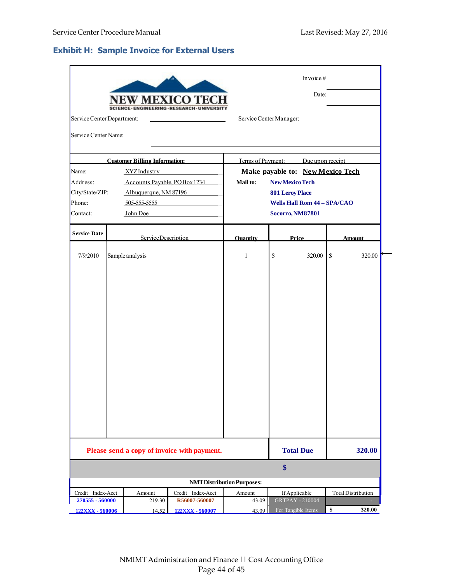# **Exhibit H: Sample Invoice for External Users**

|                            |                                      | V MEXICO TE                                 |                                  |                                    | Invoice $#$<br>Date: |                                  |
|----------------------------|--------------------------------------|---------------------------------------------|----------------------------------|------------------------------------|----------------------|----------------------------------|
| Service Center Department: |                                      |                                             |                                  | Service Center Manager:            |                      |                                  |
| Service Center Name:       |                                      |                                             |                                  |                                    |                      |                                  |
|                            | <b>Customer Billing Information:</b> |                                             |                                  | Terms of Payment: Due upon receipt |                      |                                  |
| Name:                      | <b>XYZIndustry</b>                   |                                             |                                  |                                    |                      | Make payable to: New Mexico Tech |
| Address:                   | Accounts Payable, POBox 1234         |                                             | Mail to:                         | <b>New Mexico Tech</b>             |                      |                                  |
| City/State/ZIP:            | Albuquerque, NM 87196                |                                             |                                  | <b>801 Leroy Place</b>             |                      |                                  |
| Phone:                     | 505-555-5555                         |                                             |                                  | <b>Wells Hall Rom 44 - SPA/CAO</b> |                      |                                  |
| Contact:                   | John Doe                             |                                             |                                  | <b>Socorro, NM87801</b>            |                      |                                  |
| <b>Service Date</b>        | ServiceDescription                   |                                             | <b>Ouantity</b>                  | Price                              |                      | <b>Amount</b>                    |
| 7/9/2010                   | Sample analysis                      |                                             | $\mathbf{1}$                     | \$                                 | 320.00               | 320.00<br>\$                     |
|                            |                                      | Please send a copy of invoice with payment. |                                  | <b>Total Due</b><br>$\$\$          |                      | 320.00                           |
|                            |                                      |                                             | <b>NMTDistribution Purposes:</b> |                                    |                      |                                  |
| Credit Index-Acct          | Amount                               | Credit Index-Acct                           | Amount                           | If Applicable                      |                      | <b>Total Distribution</b>        |
| 270555 - 560000            | 219.30                               | R56007-560007                               | 43.09                            | <b>GRTPAY - 210004</b>             |                      |                                  |
| 122XXX - 560006            | 14.52                                | 122XXX - 560007                             | 43.09                            | For Tangible Items                 |                      | \$<br>320.00                     |